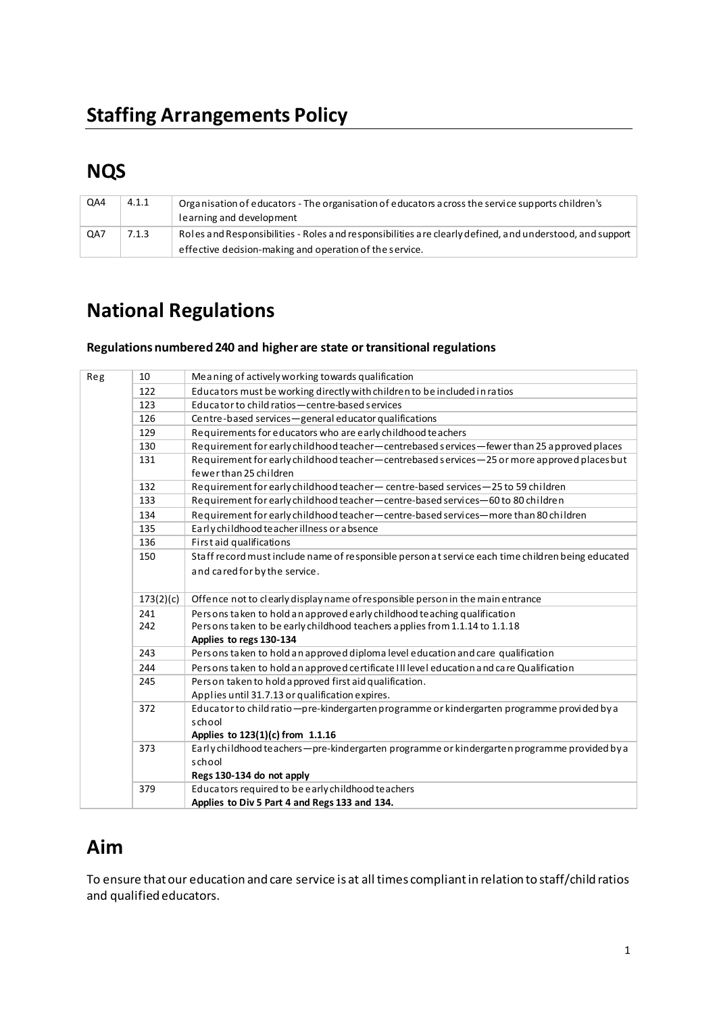# **NQS**

| QA4 | 4.1.1 | Organisation of educators - The organisation of educators across the service supports children's<br>learning and development                                        |
|-----|-------|---------------------------------------------------------------------------------------------------------------------------------------------------------------------|
| QA7 | 7.1.3 | Roles and Responsibilities - Roles and responsibilities are clearly defined, and understood, and support<br>effective decision-making and operation of the service. |

# **National Regulations**

#### **Regulations numbered240 and higher are state or transitional regulations**

| Reg | 10        | Meaning of actively working towards qualification                                                 |
|-----|-----------|---------------------------------------------------------------------------------------------------|
|     | 122       | Educators must be working directly with children to be included in ratios                         |
|     | 123       | Educator to child ratios - centre-based services                                                  |
|     | 126       | Centre-based services-general educator qualifications                                             |
|     | 129       | Requirements for educators who are early childhood teachers                                       |
|     | 130       | Requirement for early child hood teacher-centrebased services-fewer than 25 approved places       |
|     | 131       | Requirement for early childhood teacher-centrebased services-25 or more approved places but       |
|     |           | fewer than 25 children                                                                            |
|     | 132       | Requirement for early childhood teacher-centre-based services-25 to 59 children                   |
|     | 133       | Requirement for early childhood teacher-centre-based services-60 to 80 children                   |
|     | 134       | Requirement for early child hood teacher — centre-based services—more than 80 children            |
|     | 135       | Early childhood teacher illness or a bsence                                                       |
|     | 136       | First aid qualifications                                                                          |
|     | 150       | Staff record must include name of responsible person at service each time children being educated |
|     |           | and cared for by the service.                                                                     |
|     |           |                                                                                                   |
|     | 173(2)(c) | Offence not to clearly display name of responsible person in the main entrance                    |
|     | 241       | Persons taken to hold an approved early childhood teaching qualification                          |
|     | 242       | Persons taken to be early childhood teachers applies from 1.1.14 to 1.1.18                        |
|     |           | Applies to regs 130-134                                                                           |
|     | 243       | Persons taken to hold an approved diploma level education and care qualification                  |
|     | 244       | Persons taken to hold an approved certificate III level education and care Qualification          |
|     | 245       | Person taken to hold approved first aid qualification.                                            |
|     |           | Applies until 31.7.13 or qualification expires.                                                   |
|     | 372       | Educator to child ratio-pre-kindergarten programme or kindergarten programme provided by a        |
|     |           | school                                                                                            |
|     |           | Applies to 123(1)(c) from 1.1.16                                                                  |
|     | 373       | Early childhood teachers - pre-kindergarten programme or kindergarten programme provided by a     |
|     |           | school                                                                                            |
|     |           | Regs 130-134 do not apply                                                                         |
|     | 379       | Educators required to be early childhood teachers                                                 |
|     |           | Applies to Div 5 Part 4 and Regs 133 and 134.                                                     |

## **Aim**

To ensure that our education and care service is at all times compliant in relation to staff/child ratios and qualified educators.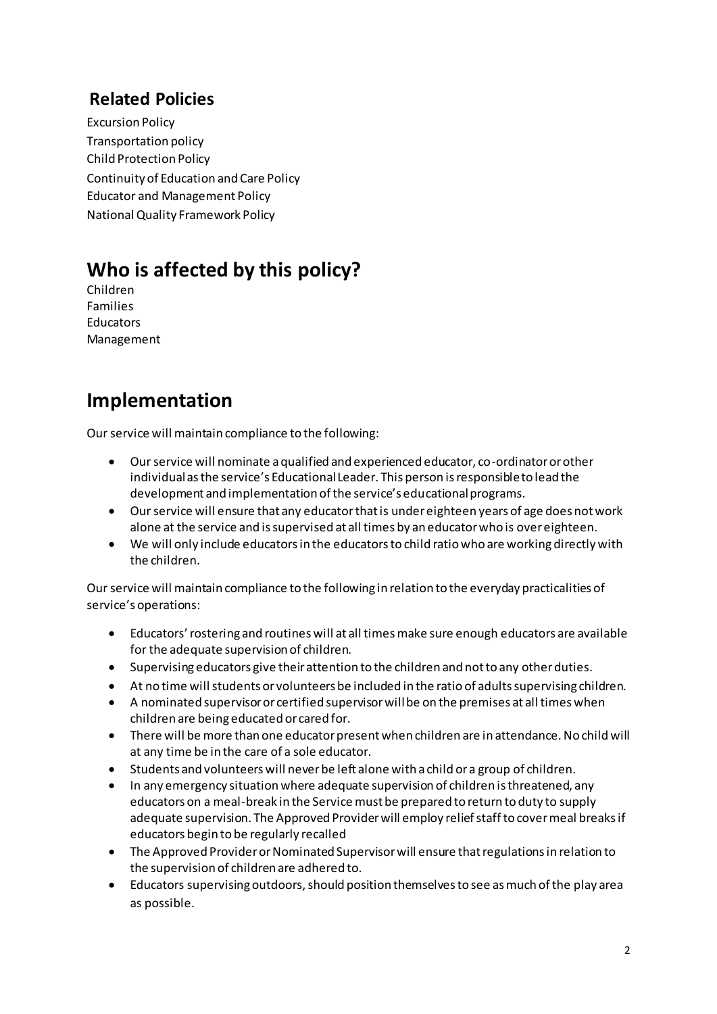### **Related Policies**

Excursion Policy Transportation policy Child Protection Policy Continuity of Education and Care Policy Educator and Management Policy National Quality Framework Policy

## **Who is affected by this policy?**

Children Families Educators Management

### **Implementation**

Our service will maintain compliance to the following:

- Our service will nominate a qualified and experienced educator, co-ordinator or other individual as the service's Educational Leader. This person is responsible to lead the development and implementation of the service's educational programs.
- Our service will ensure that any educator that is under eighteen years of age does not work alone at the service and is supervised at all times by an educator who is over eighteen.
- We will only include educators in the educators to child ratio who are working directly with the children.

Our service will maintain compliance to the following in relation to the everyday practicalities of service's operations:

- Educators' rostering and routines will at all times make sure enough educators are available for the adequate supervision of children.
- Supervising educators give their attention to the children and not to any other duties.
- At no time will students or volunteers be included in the ratio of adults supervising children.
- A nominated supervisor or certified supervisor will be on the premises at all times when children are being educated or cared for.
- There will be more than one educator present when children are in attendance. No child will at any time be in the care of a sole educator.
- Students and volunteers will never be left alone with a child or a group of children.
- In any emergency situation where adequate supervision of children is threatened, any educators on a meal-break in the Service must be prepared to return to duty to supply adequate supervision. The Approved Provider will employ relief staff to cover meal breaks if educators begin to be regularly recalled
- The Approved Provider or Nominated Supervisor will ensure that regulations in relation to the supervision of children are adhered to.
- Educators supervising outdoors, should position themselves to see as much of the play area as possible.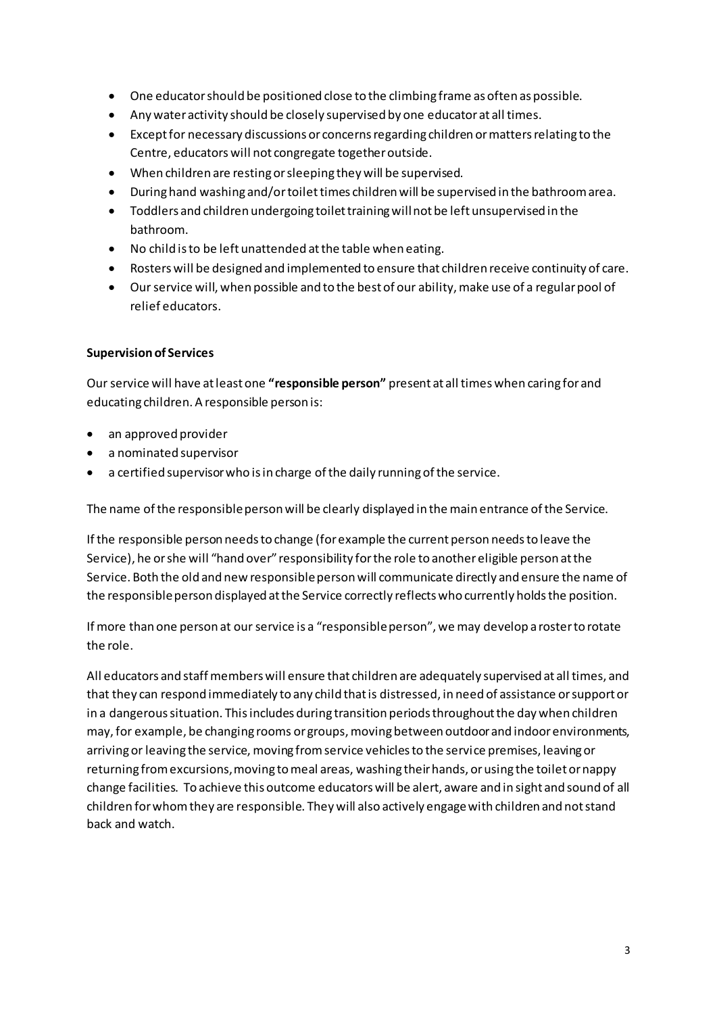- One educator should be positioned close to the climbing frame as often as possible.
- Any water activity should be closely supervised by one educator at all times.
- Except for necessary discussions or concerns regarding children or matters relating to the Centre, educators will not congregate together outside.
- When children are resting or sleeping they will be supervised.
- During hand washing and/or toilet times children will be supervised in the bathroom area.
- Toddlers and children undergoing toilet training will not be left unsupervised in the bathroom.
- No child is to be left unattended at the table when eating.
- Rosters will be designed and implemented to ensure that children receive continuity of care.
- Our service will, when possible and to the best of our ability, make use of a regular pool of relief educators.

#### **Supervision of Services**

Our service will have at least one "responsible person" present at all times when caring for and educating children. A responsible person is:

- an approved provider
- a nominated supervisor
- a certified supervisor who is in charge of the daily running of the service.

The name of the responsible person will be clearly displayed in the main entrance of the Service.

If the responsible person needs to change (for example the current person needs to leave the Service), he or she will "hand over" responsibility for the role to another eligible person at the Service. Both the old and new responsible person will communicate directly and ensure the name of the responsible person displayed at the Service correctly reflects who currently holds the position.

If more than one person at our service is a "responsible person", we may develop a roster to rotate the role.

All educators and staff members will ensure that children are adequately supervised at all times, and that they can respond immediately to any child that is distressed, in need of assistance or support or in a dangerous situation. This includes during transition periods throughout the day when children may, for example, be changing rooms or groups, moving between outdoor and indoor environments, arriving or leaving the service, moving from service vehicles to the service premises, leaving or returning from excursions, moving to meal areas, washing their hands, or using the toilet or nappy change facilities. To achieve this outcome educators will be alert, aware and in sight and sound of all children for whom they are responsible. They will also actively engage with children and not stand back and watch.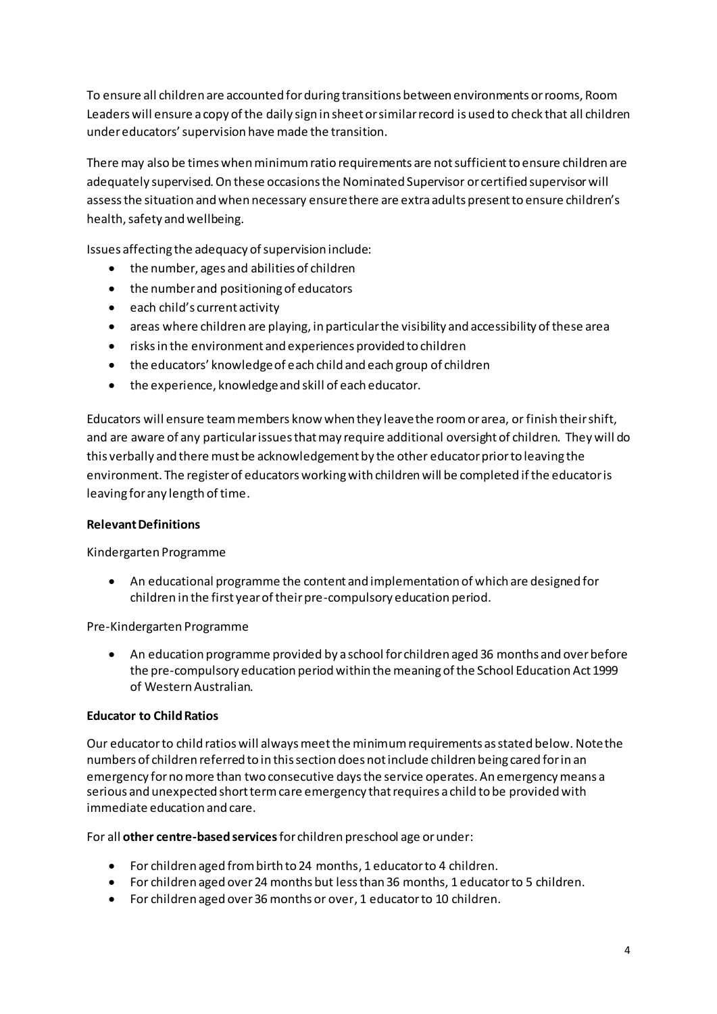To ensure all children are accounted for during transitions between environments or rooms, Room Leaders will ensure a copy of the daily sign in sheet or similar record is used to check that all children under educators' supervision have made the transition.

There may also be times when minimum ratio requirements are not sufficient to ensure children are adequately supervised. On these occasions the Nominated Supervisor or certified supervisor will assess the situation and when necessary ensure there are extra adults present to ensure children's health, safety and wellbeing.

Issues affecting the adequacy of supervision include:

- the number, ages and abilities of children
- the number and positioning of educators
- each child's current activity
- areas where children are playing, in particular the visibility and accessibility of these area
- risks in the environment and experiences provided to children
- $\bullet$  the educators' knowledge of each child and each group of children
- the experience, knowledge and skill of each educator.

Educators will ensure team members know when they leave the room or area, or finish their shift, and are aware of any particular issues that may require additional oversight of children. They will do this verbally and there must be acknowledgement by the other educator prior to leaving the environment. The register of educators working with children will be completed if the educator is leaving for any length of time.

#### **Relevant Definitions**

Kindergarten Programme

• An educational programme the content and implementation of which are designed for children in the first year of their pre-compulsory education period.

Pre-Kindergarten Programme

• An education programme provided by a school for children aged 36 months and over before the pre-compulsory education period within the meaning of the School Education Act 1999 of Western Australian.

#### **Educator to Child Ratios**

Our educator to child ratios will always meet the minimum requirements as stated below. Note the numbers of children referred to in this section does not include children being cared for in an emergency for no more than two consecutive days the service operates. An emergency means a serious and unexpected short term care emergency that requires a child to be provided with immediate education and care.

For all **other centre-based services** for children preschool age or under:

- For children aged from birth to 24 months, 1 educator to 4 children.
- For children aged over 24 months but less than 36 months, 1 educator to 5 children.
- For children aged over 36 months or over, 1 educator to 10 children.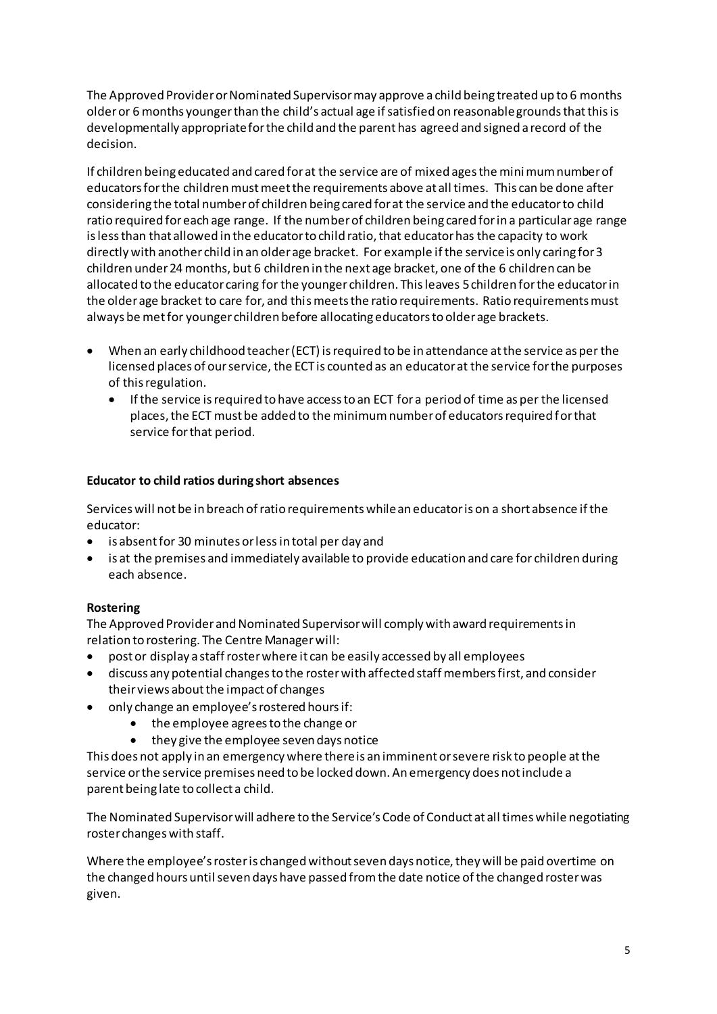The Approved Provider or Nominated Supervisor may approve a child being treated up to 6 months older or 6 months younger than the child's actual age if satisfied on reasonable grounds that this is developmentally appropriate for the child and the parent has agreed and signed a record of the decision.

If children being educated and cared for at the service are of mixed ages the mini mum number of educators for the children must meet the requirements above at all times. This can be done after considering the total number of children being cared for at the service and the educator to child ratio required for each age range. If the number of children being cared for in a particular age range is less than that allowed in the educator to child ratio, that educator has the capacity to work directly with another child in an older age bracket. For example if the service is only caring for 3 children under 24 months, but 6 children in the next age bracket, one of the 6 children can be allocated to the educator caring for the younger children. This leaves 5 children for the educator in the older age bracket to care for, and this meets the ratio requirements. Ratio requirements must always be met for younger children before allocating educators to older age brackets.

- When an early childhood teacher (ECT) is required to be in attendance at the service as per the licensed places of our service, the ECT is counted as an educator at the service for the purposes of this regulation.
	- If the service is required to have access to an ECT for a period of time as per the licensed places, the ECT must be added to the minimum number of educators required for that service for that period.

#### **Educator to child ratios during short absences**

Services will not be in breach of ratio requirements while an educator is on a short absence if the educator:

- is absent for 30 minutes or less in total per day and
- is at the premises and immediately available to provide education and care for children during each absence.

#### **Rostering**

The Approved Provider and Nominated Supervisor will comply with award requirements in relation to rostering. The Centre Manager will:

- post or display a staff roster where it can be easily accessed by all employees
- discuss any potential changes to the roster with affected staff members first, and consider their views about the impact of changes
- only change an employee's rostered hours if:
	- the employee agrees to the change or
	- they give the employee seven days notice

This does not apply in an emergency where there is an imminent or severe risk to people at the service or the service premises need to be locked down. An emergency does not include a parent being late to collect a child.

The Nominated Supervisor will adhere to the Service's Code of Conduct at all times while negotiating roster changes with staff.

Where the employee's roster is changed without seven days notice, they will be paid overtime on the changed hours until seven days have passed from the date notice of the changed roster was given.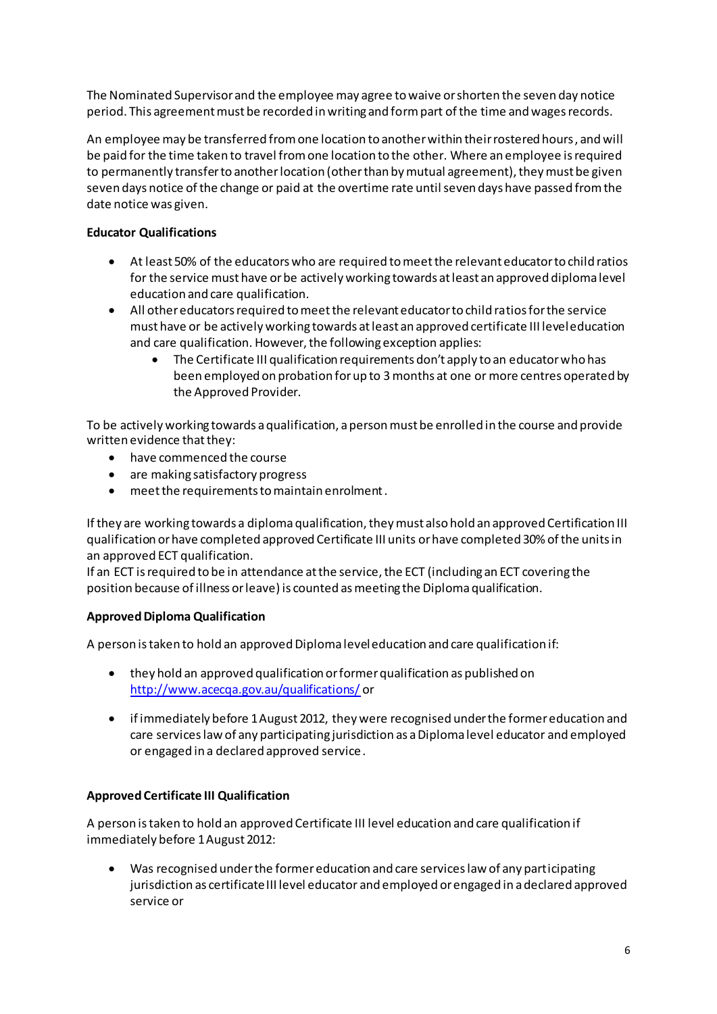The Nominated Supervisor and the employee may agree to waive or shorten the seven day notice period. This agreement must be recorded in writing and form part of the time and wages records.

An employee may be transferred from one location to another within their rostered hours, and will be paid for the time taken to travel from one location to the other. Where an employee is required to permanently transfer to another location (other than by mutual agreement), they must be given seven days notice of the change or paid at the overtime rate until seven days have passed from the date notice was given.

#### **Educator Qualifications**

- At least 50% of the educators who are required to meet the relevant educator to child ratios for the service must have or be actively working towards at least an approved diploma level education and care qualification.
- All other educators required to meet the relevant educator to child ratios for the service must have or be actively working towards at least an approved certificate III level education and care qualification. However, the following exception applies:
	- The Certificate III qualification requirements don't apply to an educator who has been employed on probation for up to 3 months at one or more centres operated by the Approved Provider.

To be actively working towards a qualification, a person must be enrolled in the course and provide written evidence that they:

- have commenced the course
- are making satisfactory progress
- meet the requirements to maintain enrolment .

If they are working towards a diploma qualification, they must also hold an approved Certification III qualification or have completed approved Certificate III units or have completed 30% of the units in an approved ECT qualification.

If an ECT is required to be in attendance at the service, the ECT (including an ECT covering the position because of illness or leave) is counted as meeting the Diploma qualification.

#### **Approved Diploma Qualification**

A person is taken to hold an approved Diploma level education and care qualification if:

- they hold an approved qualification or former qualification as published on <http://www.acecqa.gov.au/qualifications/> or
- if immediately before 1 August 2012, they were recognised under the former education and care services law of any participating jurisdiction as a Diploma level educator and employed or engaged in a declared approved service .

#### **Approved Certificate III Qualification**

A person is taken to hold an approved Certificate III level education and care qualification if immediately before 1 August 2012:

• Was recognised under the former education and care services law of any participating jurisdiction as certificate III level educator and employed or engaged in a declared approved service or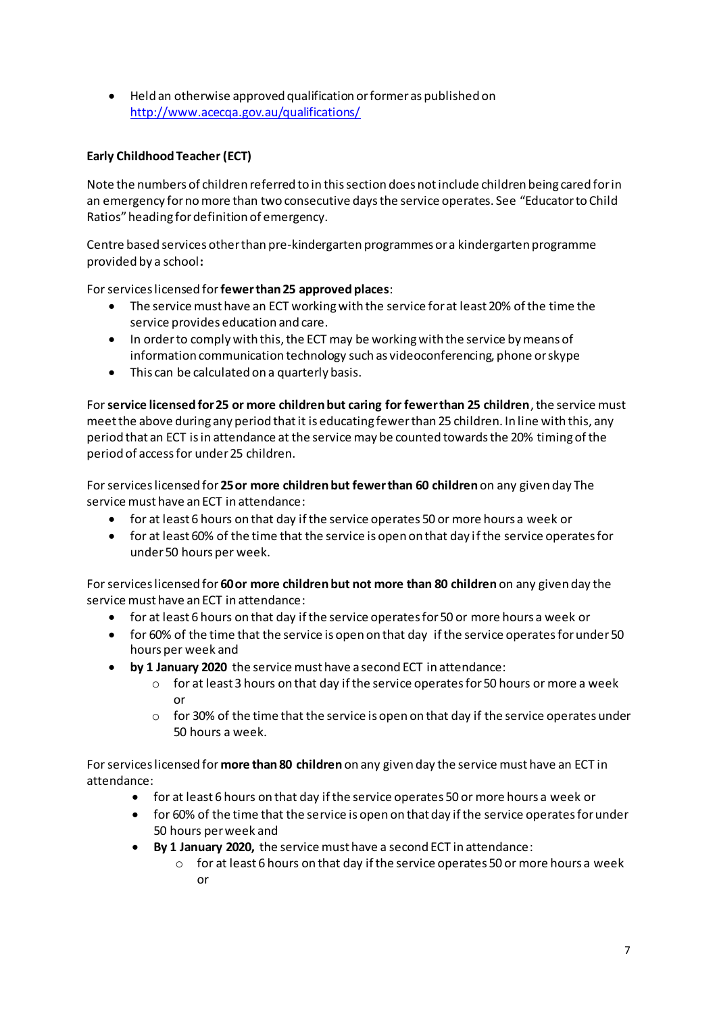• Held an otherwise approved qualification or former as published on <http://www.acecqa.gov.au/qualifications/>

#### **Early Childhood Teacher (ECT)**

Note the numbers of children referred to in this section does not include children being cared for in an emergency for no more than two consecutive days the service operates. See "Educator to Child Ratios" heading for definition of emergency.

Centre based services other than pre-kindergarten programmes or a kindergarten programme provided by a school**:** 

For services licensed for **fewer than 25 approved places**:

- The service must have an ECT working with the service for at least 20% of the time the service provides education and care.
- In order to comply with this, the ECT may be working with the service by means of information communication technology such as videoconferencing, phone or skype
- This can be calculated on a quarterly basis.

For **service licensed for 25 or more children but caring for fewer than 25 children**, the service must meet the above during any period that it is educating fewer than 25 children. In line with this, any period that an ECT is in attendance at the service may be counted towards the 20% timing of the period of access for under 25 children.

For services licensed for **25 or more children but fewer than 60 children** on any given day The service must have an ECT in attendance:

- for at least 6 hours on that day if the service operates 50 or more hours a week or
- for at least 60% of the time that the service is open on that day if the service operates for under 50 hours per week.

For services licensed for **60 or more children but not more than 80 children** on any given day the service must have an ECT in attendance:

- for at least 6 hours on that day if the service operates for 50 or more hours a week or
- for 60% of the time that the service is open on that day if the service operates for under 50 hours per week and
- **by 1 January 2020** the service must have a second ECT in attendance:
	- $\circ$  for at least 3 hours on that day if the service operates for 50 hours or more a week or
	- o for 30% of the time that the service is open on that day if the service operates under 50 hours a week.

For services licensed for **more than 80 children** on any given day the service must have an ECT in attendance:

- for at least 6 hours on that day if the service operates 50 or more hours a week or
- for 60% of the time that the service is open on that day if the service operates for under 50 hours per week and
- **By 1 January 2020,** the service must have a second ECT in attendance:
	- $\circ$  for at least 6 hours on that day if the service operates 50 or more hours a week or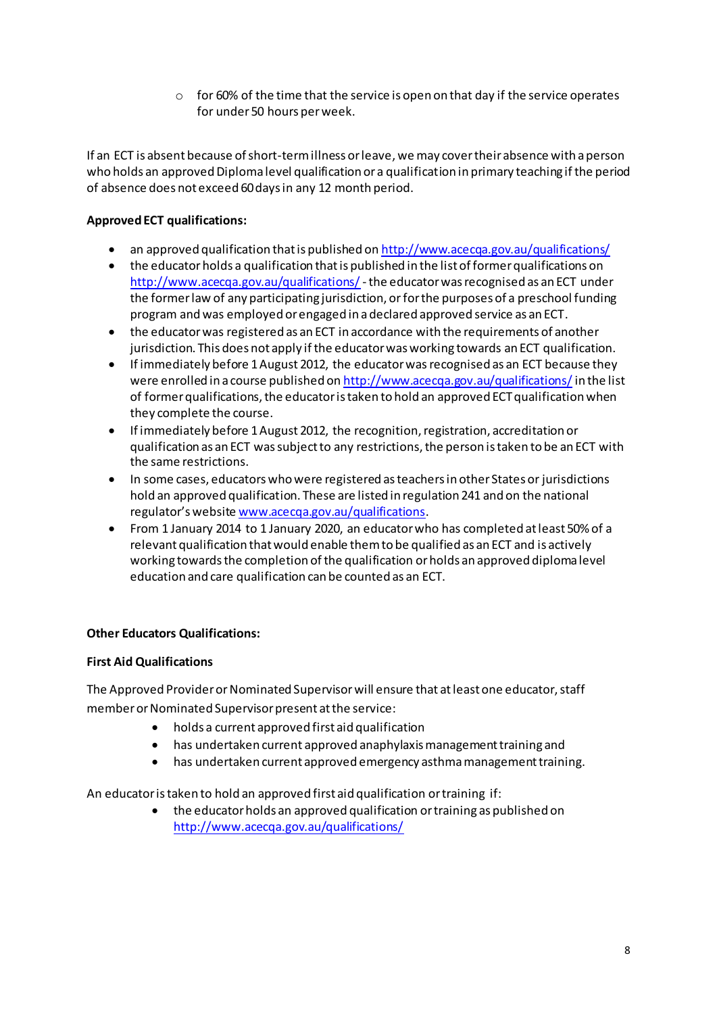o for 60% of the time that the service is open on that day if the service operates for under 50 hours per week.

If an ECT is absent because of short-term illness or leave, we may cover their absence with a person who holds an approved Diploma level qualification or a qualification in primary teaching if the period of absence does not exceed 60 days in any 12 month period.

#### **Approved ECT qualifications:**

- an approved qualification that is published o[n http://www.acecqa.gov.au/qualifications/](http://www.acecqa.gov.au/qualifications/)
- the educator holds a qualification that is published in the list of former qualifications on <http://www.acecqa.gov.au/qualifications/> - the educator was recognised as an ECT under the former law of any participating jurisdiction, or for the purposes of a preschool funding program and was employed or engaged in a declared approved service as an ECT.
- the educator was registered as an ECT in accordance with the requirements of another jurisdiction. This does not apply if the educator was working towards an ECT qualification.
- If immediately before 1 August 2012, the educator was recognised as an ECT because they were enrolled in a course published o[n http://www.acecqa.gov.au/qualifications/](http://www.acecqa.gov.au/qualifications/) in the list of former qualifications, the educator is taken to hold an approved ECT qualification when they complete the course.
- If immediately before 1 August 2012, the recognition, registration, accreditation or qualification as an ECT was subject to any restrictions, the person is taken to be an ECT with the same restrictions.
- In some cases, educators who were registered as teachers in other States or jurisdictions hold an approved qualification. These are listed in regulation 241 and on the national regulator's website [www.acecqa.gov.au/qualifications](http://www.acecqa.gov.au/qualifications).
- From 1 January 2014 to 1 January 2020, an educator who has completed at least 50% of a relevant qualification that would enable them to be qualified as an ECT and is actively working towards the completion of the qualification or holds an approved diploma level education and care qualification can be counted as an ECT.

#### **Other Educators Qualifications:**

#### **First Aid Qualifications**

The Approved Provider or Nominated Supervisor will ensure that at least one educator, staff member or Nominated Supervisor present at the service:

- holds a current approved first aid qualification
- has undertaken current approved anaphylaxis management training and
- has undertaken current approved emergency asthma management training.

An educator is taken to hold an approved first aid qualification or training if:

• the educator holds an approved qualification or training as published on <http://www.acecqa.gov.au/qualifications/>